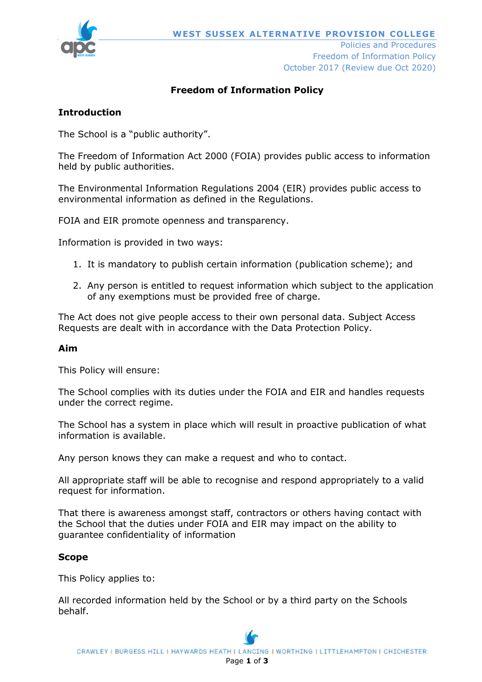

Freedom of Information Policy October 2017 (Review due Oct 2020)

# **Freedom of Information Policy**

## **Introduction**

The School is a "public authority".

The Freedom of Information Act 2000 (FOIA) provides public access to information held by public authorities.

The Environmental Information Regulations 2004 (EIR) provides public access to environmental information as defined in the Regulations.

FOIA and EIR promote openness and transparency.

Information is provided in two ways:

- 1. It is mandatory to publish certain information (publication scheme); and
- 2. Any person is entitled to request information which subject to the application of any exemptions must be provided free of charge.

The Act does not give people access to their own personal data. Subject Access Requests are dealt with in accordance with the Data Protection Policy.

#### **Aim**

This Policy will ensure:

The School complies with its duties under the FOIA and EIR and handles requests under the correct regime.

The School has a system in place which will result in proactive publication of what information is available.

Any person knows they can make a request and who to contact.

All appropriate staff will be able to recognise and respond appropriately to a valid request for information.

That there is awareness amongst staff, contractors or others having contact with the School that the duties under FOIA and EIR may impact on the ability to guarantee confidentiality of information

### **Scope**

This Policy applies to:

All recorded information held by the School or by a third party on the Schools behalf.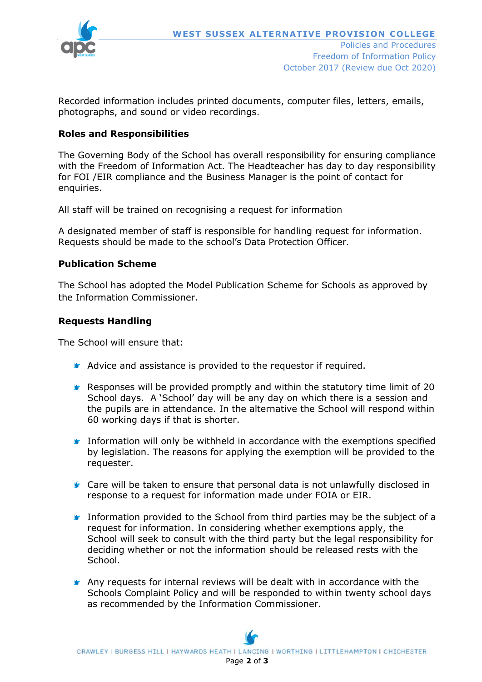

Recorded information includes printed documents, computer files, letters, emails, photographs, and sound or video recordings.

### **Roles and Responsibilities**

The Governing Body of the School has overall responsibility for ensuring compliance with the Freedom of Information Act. The Headteacher has day to day responsibility for FOI /EIR compliance and the Business Manager is the point of contact for enquiries.

All staff will be trained on recognising a request for information

A designated member of staff is responsible for handling request for information. Requests should be made to the school's Data Protection Officer.

### **Publication Scheme**

The School has adopted the Model Publication Scheme for Schools as approved by the Information Commissioner.

#### **Requests Handling**

The School will ensure that:

- **A** Advice and assistance is provided to the requestor if required.
- **F** Responses will be provided promptly and within the statutory time limit of 20 School days. A 'School' day will be any day on which there is a session and the pupils are in attendance. In the alternative the School will respond within 60 working days if that is shorter.
- Information will only be withheld in accordance with the exemptions specified by legislation. The reasons for applying the exemption will be provided to the requester.
- **■** Care will be taken to ensure that personal data is not unlawfully disclosed in response to a request for information made under FOIA or EIR.
- **Information provided to the School from third parties may be the subject of a** request for information. In considering whether exemptions apply, the School will seek to consult with the third party but the legal responsibility for deciding whether or not the information should be released rests with the School.
- **Any requests for internal reviews will be dealt with in accordance with the** Schools Complaint Policy and will be responded to within twenty school days as recommended by the Information Commissioner.